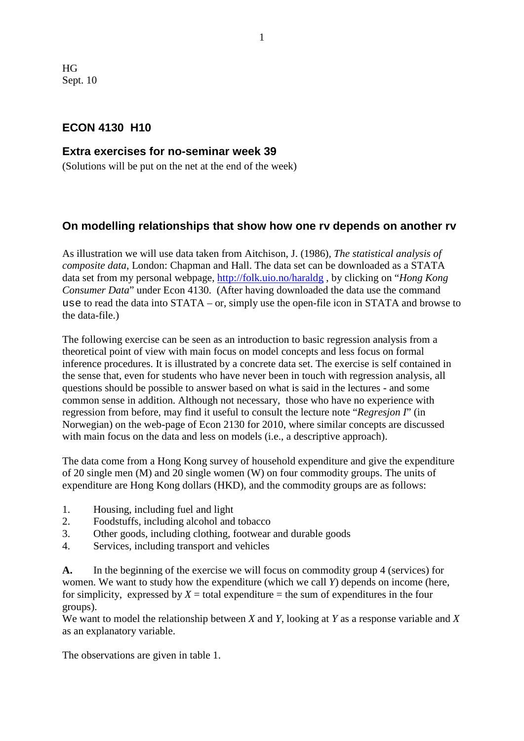HG Sept. 10

# **ECON 4130 H10**

### **Extra exercises for no-seminar week 39**

(Solutions will be put on the net at the end of the week)

# **On modelling relationships that show how one rv depends on another rv**

As illustration we will use data taken from Aitchison, J. (1986), *The statistical analysis of composite data*, London: Chapman and Hall. The data set can be downloaded as a STATA data set from my personal webpage,<http://folk.uio.no/haraldg> , by clicking on "*Hong Kong Consumer Data*" under Econ 4130. (After having downloaded the data use the command use to read the data into STATA – or, simply use the open-file icon in STATA and browse to the data-file.)

The following exercise can be seen as an introduction to basic regression analysis from a theoretical point of view with main focus on model concepts and less focus on formal inference procedures. It is illustrated by a concrete data set. The exercise is self contained in the sense that, even for students who have never been in touch with regression analysis, all questions should be possible to answer based on what is said in the lectures - and some common sense in addition. Although not necessary, those who have no experience with regression from before, may find it useful to consult the lecture note "*Regresjon I*" (in Norwegian) on the web-page of Econ 2130 for 2010, where similar concepts are discussed with main focus on the data and less on models (i.e., a descriptive approach).

The data come from a Hong Kong survey of household expenditure and give the expenditure of 20 single men (M) and 20 single women (W) on four commodity groups. The units of expenditure are Hong Kong dollars (HKD), and the commodity groups are as follows:

- 1. Housing, including fuel and light
- 2. Foodstuffs, including alcohol and tobacco
- 3. Other goods, including clothing, footwear and durable goods
- 4. Services, including transport and vehicles

**A.** In the beginning of the exercise we will focus on commodity group 4 (services) for women. We want to study how the expenditure (which we call *Y*) depends on income (here, for simplicity, expressed by  $X =$  total expenditure  $=$  the sum of expenditures in the four groups).

We want to model the relationship between *X* and *Y*, looking at *Y* as a response variable and *X* as an explanatory variable.

The observations are given in table 1.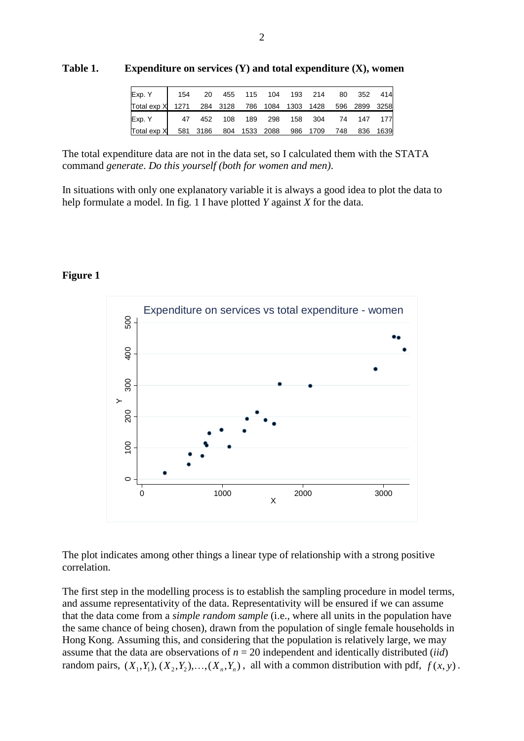| Exp. Y                                                     | 154 | 20                     |  |               | 455 115 104 193 214 80 352 414 |     |          |
|------------------------------------------------------------|-----|------------------------|--|---------------|--------------------------------|-----|----------|
| Total exp X 1271 284 3128 786 1084 1303 1428 596 2899 3258 |     |                        |  |               |                                |     |          |
| Exp. Y                                                     |     | 47  452  108  189  298 |  |               | 158 304 74 147 177             |     |          |
| Total exp X                                                |     | 581 3186               |  | 804 1533 2088 | 986 1709                       | 748 | 836 1639 |

**Table 1. Expenditure on services (Y) and total expenditure (X), women**

The total expenditure data are not in the data set, so I calculated them with the STATA command *generate*. *Do this yourself (both for women and men)*.

In situations with only one explanatory variable it is always a good idea to plot the data to help formulate a model. In fig. 1 I have plotted *Y* against *X* for the data.

### **Figure 1**



The plot indicates among other things a linear type of relationship with a strong positive correlation.

The first step in the modelling process is to establish the sampling procedure in model terms, and assume representativity of the data. Representativity will be ensured if we can assume that the data come from a *simple random sample* (i.e., where all units in the population have the same chance of being chosen), drawn from the population of single female households in Hong Kong. Assuming this, and considering that the population is relatively large, we may assume that the data are observations of  $n = 20$  independent and identically distributed *(iid)* random pairs,  $(X_1, Y_1), (X_2, Y_2), \ldots, (X_n, Y_n)$ , all with a common distribution with pdf,  $f(x, y)$ .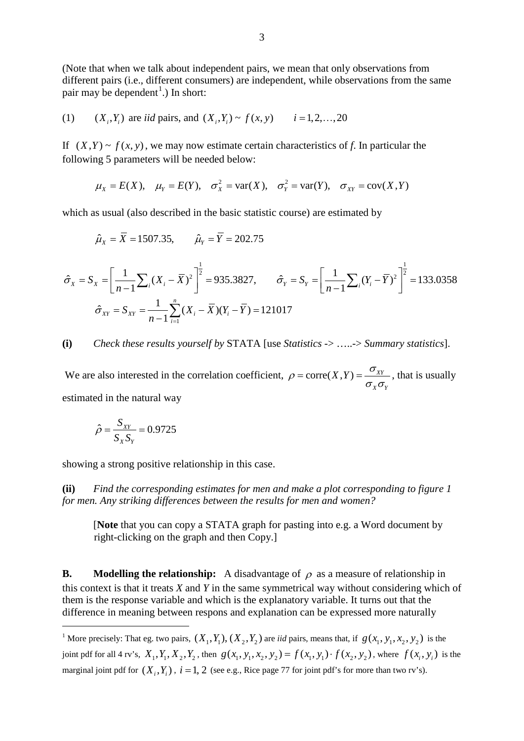(Note that when we talk about independent pairs, we mean that only observations from different pairs (i.e., different consumers) are independent, while observations from the same pair may be dependent<sup>[1](#page-2-0)</sup>.) In short:

(1) 
$$
(X_i, Y_i)
$$
 are *iid* pairs, and  $(X_i, Y_i) \sim f(x, y)$   $i = 1, 2, ..., 20$ 

If  $(X, Y) \sim f(x, y)$ , we may now estimate certain characteristics of f. In particular the following 5 parameters will be needed below:

$$
\mu_X = E(X)
$$
,  $\mu_Y = E(Y)$ ,  $\sigma_X^2 = \text{var}(X)$ ,  $\sigma_Y^2 = \text{var}(Y)$ ,  $\sigma_{XY} = \text{cov}(X, Y)$ 

which as usual (also described in the basic statistic course) are estimated by

$$
\hat{\mu}_x = \overline{X} = 1507.35
$$
,  $\hat{\mu}_y = \overline{Y} = 202.75$ 

$$
\hat{\sigma}_X = S_X = \left[\frac{1}{n-1} \sum_i (X_i - \bar{X})^2\right]^{\frac{1}{2}} = 935.3827, \qquad \hat{\sigma}_Y = S_Y = \left[\frac{1}{n-1} \sum_i (Y_i - \bar{Y})^2\right]^{\frac{1}{2}} = 133.0358
$$

$$
\hat{\sigma}_{XY} = S_{XY} = \frac{1}{n-1} \sum_{i=1}^n (X_i - \bar{X})(Y_i - \bar{Y}) = 121017
$$

### **(i)** *Check these results yourself by* STATA [use *Statistics* -> …..-> *Summary statistics*].

We are also interested in the correlation coefficient,  $\rho = \text{corr}(X, Y) = \frac{G_{XY}}{Y}$ *X Y*  $\rho = \text{corr}(X, Y) = \frac{\sigma_{XY}}{\sigma_{Y}\sigma_{Y}}$ , that is usually estimated in the natural way

$$
\hat{\rho} = \frac{S_{XY}}{S_X S_Y} = 0.9725
$$

showing a strong positive relationship in this case.

**(ii)** *Find the corresponding estimates for men and make a plot corresponding to figure 1 for men. Any striking differences between the results for men and women?*

[**Note** that you can copy a STATA graph for pasting into e.g. a Word document by right-clicking on the graph and then Copy.]

**B. Modelling the relationship:** A disadvantage of  $\rho$  as a measure of relationship in this context is that it treats *X* and *Y* in the same symmetrical way without considering which of them is the response variable and which is the explanatory variable. It turns out that the difference in meaning between respons and explanation can be expressed more naturally

<span id="page-2-0"></span><sup>&</sup>lt;sup>1</sup> More precisely: That eg. two pairs,  $(X_1, Y_1)$ ,  $(X_2, Y_2)$  are *iid* pairs, means that, if  $g(x_1, y_1, x_2, y_2)$  is the joint pdf for all 4 rv's,  $X_1, Y_1, X_2, Y_2$ , then  $g(x_1, y_1, x_2, y_2) = f(x_1, y_1) \cdot f(x_2, y_2)$ , where  $f(x_i, y_i)$  is the marginal joint pdf for  $(X_i, Y_i)$ ,  $i = 1, 2$  (see e.g., Rice page 77 for joint pdf's for more than two rv's).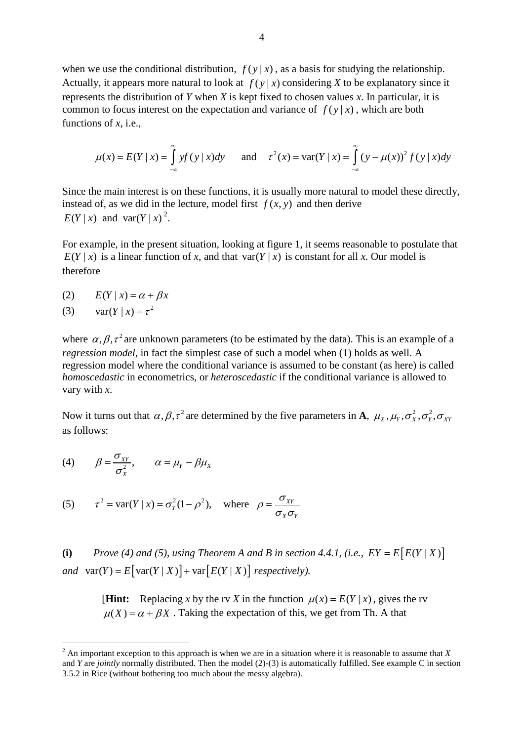when we use the conditional distribution,  $f(y|x)$ , as a basis for studying the relationship. Actually, it appears more natural to look at  $f(y|x)$  considering *X* to be explanatory since it represents the distribution of *Y* when *X* is kept fixed to chosen values *x*. In particular, it is common to focus interest on the expectation and variance of  $f(y|x)$ , which are both functions of *x*, i.e.,

$$
\mu(x) = E(Y \mid x) = \int_{-\infty}^{\infty} y f(y \mid x) dy \quad \text{and} \quad \tau^{2}(x) = \text{var}(Y \mid x) = \int_{-\infty}^{\infty} (y - \mu(x))^{2} f(y \mid x) dy
$$

Since the main interest is on these functions, it is usually more natural to model these directly, instead of, as we did in the lecture, model first  $f(x, y)$  and then derive  $E(Y | x)$  and var $(Y | x)^2$  $(Y | x)^2$ .

For example, in the present situation, looking at figure 1, it seems reasonable to postulate that  $E(Y | x)$  is a linear function of *x*, and that var( $Y | x$ ) is constant for all *x*. Our model is therefore

- (2)  $E(Y | x) = \alpha + \beta x$
- (3)  $var(Y | x) = \tau^2$

where  $\alpha, \beta, \tau^2$  are unknown parameters (to be estimated by the data). This is an example of a *regression model*, in fact the simplest case of such a model when (1) holds as well. A regression model where the conditional variance is assumed to be constant (as here) is called *homoscedastic* in econometrics, or *heteroscedastic* if the conditional variance is allowed to vary with *x*.

Now it turns out that  $\alpha, \beta, \tau^2$  are determined by the five parameters in **A**,  $\mu_x, \mu_y, \sigma_x^2, \sigma_y^2, \sigma_{yy}$ as follows:

(4) 
$$
\beta = \frac{\sigma_{XY}}{\sigma_X^2}, \qquad \alpha = \mu_Y - \beta \mu_X
$$

(5) 
$$
\tau^2 = \text{var}(Y | x) = \sigma_Y^2 (1 - \rho^2)
$$
, where  $\rho = \frac{\sigma_{XY}}{\sigma_X \sigma_Y}$ 

**(i)** *Prove (4) and (5), using Theorem A and B in section 4.4.1, (i.e.,*  $EY = E[E(Y | X)]$ *and*  $var(Y) = E[var(Y | X)] + var[E(Y | X)]$  *respectively).* 

> [**Hint:** Replacing *x* by the rv *X* in the function  $\mu(x) = E(Y | x)$ , gives the rv  $\mu(X) = \alpha + \beta X$ . Taking the expectation of this, we get from Th. A that

<span id="page-3-0"></span> <sup>2</sup> An important exception to this approach is when we are in a situation where it is reasonable to assume that *<sup>X</sup>* and *Y* are *jointly* normally distributed. Then the model (2)-(3) is automatically fulfilled. See example C in section 3.5.2 in Rice (without bothering too much about the messy algebra).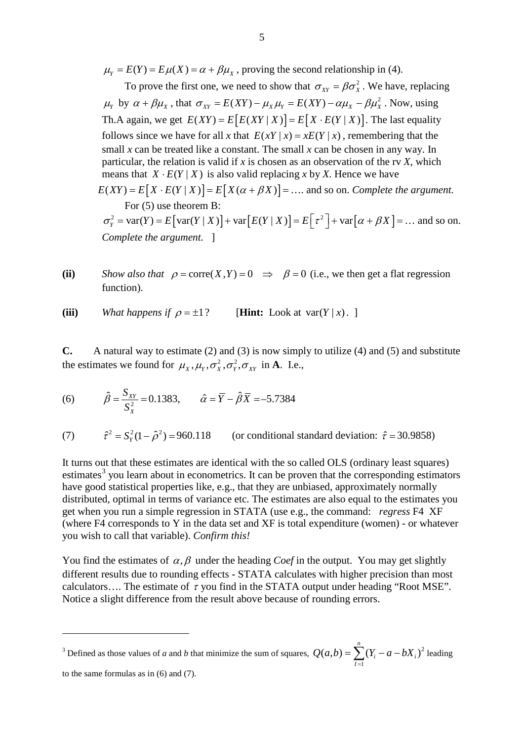$\mu_Y = E(Y) = E\mu(X) = \alpha + \beta\mu_X$ , proving the second relationship in (4).

To prove the first one, we need to show that  $\sigma_{yy} = \beta \sigma_x^2$ . We have, replacing  $\mu_Y$  by  $\alpha + \beta \mu_X$ , that  $\sigma_{XY} = E(XY) - \mu_X \mu_Y = E(XY) - \alpha \mu_X - \beta \mu_X^2$ . Now, using Th.A again, we get  $E(XY) = E[E(XY | X)] = E[X \cdot E(Y | X)]$ . The last equality follows since we have for all x that  $E(xY | x) = xE(Y | x)$ , remembering that the small *x* can be treated like a constant. The small *x* can be chosen in any way. In particular, the relation is valid if *x* is chosen as an observation of the rv *X*, which means that  $X \cdot E(Y \mid X)$  is also valid replacing *x* by *X*. Hence we have  $E(XY) = E[X \cdot E(Y | X)] = E[X(\alpha + \beta X)] = \dots$  and so on. *Complete the argument*. For (5) use theorem B:  $\sigma_Y^2 = \text{var}(Y) = E[\text{var}(Y | X)] + \text{var}[E(Y | X)] = E[\tau^2] + \text{var}[\alpha + \beta X] = ...$  and so on. *Complete the argument.* ]

(ii) *Show also that*  $\rho = \text{core}(X, Y) = 0 \implies \beta = 0$  (i.e., we then get a flat regression function).

(iii) *What happens if*  $\rho = \pm 1$ ? [**Hint:** Look at var( $Y | x$ ).

**C.** A natural way to estimate (2) and (3) is now simply to utilize (4) and (5) and substitute the estimates we found for  $\mu_X$ ,  $\mu_Y$ ,  $\sigma_X^2$ ,  $\sigma_Y^2$ ,  $\sigma_{XY}$  in **A**. I.e.,

(6) 
$$
\hat{\beta} = \frac{S_{XY}}{S_X^2} = 0.1383, \qquad \hat{\alpha} = \overline{Y} - \hat{\beta}\overline{X} = -5.7384
$$

(7)  $\hat{\tau}^2 = S_Y^2 (1 - \hat{\rho}^2) = 960.118$  (or conditional standard deviation:  $\hat{\tau} = 30.9858$ )

It turns out that these estimates are identical with the so called OLS (ordinary least squares) estimates<sup>[3](#page-4-0)</sup> you learn about in econometrics. It can be proven that the corresponding estimators have good statistical properties like, e.g., that they are unbiased, approximately normally distributed, optimal in terms of variance etc. The estimates are also equal to the estimates you get when you run a simple regression in STATA (use e.g., the command: *regress* F4 XF (where F4 corresponds to Y in the data set and XF is total expenditure (women) - or whatever you wish to call that variable). *Confirm this!*

You find the estimates of  $\alpha$ ,  $\beta$  under the heading *Coef* in the output. You may get slightly different results due to rounding effects - STATA calculates with higher precision than most calculators.... The estimate of  $\tau$  you find in the STATA output under heading "Root MSE". Notice a slight difference from the result above because of rounding errors.

<span id="page-4-0"></span><sup>3</sup> Defined as those values of *a* and *b* that minimize the sum of squares,  $Q(a,b) = \sum (Y_i - a - bX_i)^2$ 1 *n*  $Q(a,b) = \sum (Y_i - a - bX_i)$ *I*  $=\sum_{i=1} (Y_i - a - bX_i)^2$  leading

to the same formulas as in (6) and (7).

 $\overline{a}$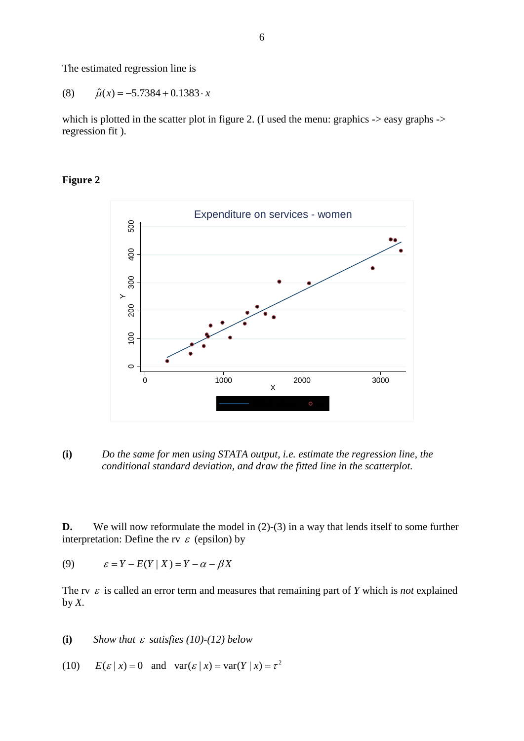The estimated regression line is

$$
(8) \qquad \hat{\mu}(x) = -5.7384 + 0.1383 \cdot x
$$

which is plotted in the scatter plot in figure 2. (I used the menu: graphics -> easy graphs -> regression fit ).





**(i)** *Do the same for men using STATA output, i.e. estimate the regression line, the conditional standard deviation, and draw the fitted line in the scatterplot.*

**D.** We will now reformulate the model in (2)-(3) in a way that lends itself to some further interpretation: Define the rv  $\varepsilon$  (epsilon) by

(9)  $\varepsilon = Y - E(Y | X) = Y - \alpha - \beta X$ 

The rv  $\varepsilon$  is called an error term and measures that remaining part of *Y* which is *not* explained by  $X$ .

**(i)** *Show that* <sup>ε</sup> *satisfies (10)-(12) below*

(10)  $E(\varepsilon | x) = 0$  and  $var(\varepsilon | x) = var(Y | x) = \tau^2$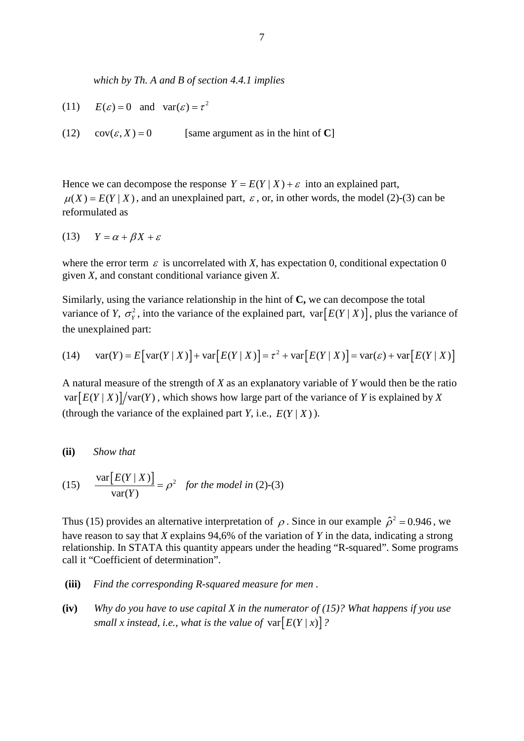*which by Th. A and B of section 4.4.1 implies*

- (11)  $E(\varepsilon) = 0$  and  $var(\varepsilon) = \tau^2$
- (12)  $cov(\varepsilon, X) = 0$  [same argument as in the hint of **C**]

Hence we can decompose the response  $Y = E(Y | X) + \varepsilon$  into an explained part,  $\mu(X) = E(Y | X)$ , and an unexplained part,  $\varepsilon$ , or, in other words, the model (2)-(3) can be reformulated as

$$
(13) \tY = \alpha + \beta X + \varepsilon
$$

where the error term  $\varepsilon$  is uncorrelated with *X*, has expectation 0, conditional expectation 0 given *X*, and constant conditional variance given *X*.

Similarly, using the variance relationship in the hint of **C,** we can decompose the total variance of *Y*,  $\sigma_{\rm v}^2$ , into the variance of the explained part, var  $[E(Y|X)]$ , plus the variance of the unexplained part:

(14) 
$$
var(Y) = E[var(Y | X)] + var[E(Y | X)] = \tau^2 + var[E(Y | X)] = var(\varepsilon) + var[E(Y | X)]
$$

A natural measure of the strength of *X* as an explanatory variable of *Y* would then be the ratio  $var[ E(Y | X) ] / var(Y)$ , which shows how large part of the variance of *Y* is explained by *X* (through the variance of the explained part *Y*, i.e.,  $E(Y | X)$ ).

#### **(ii)** *Show that*

(15) 
$$
\frac{\text{var}[E(Y \mid X)]}{\text{var}(Y)} = \rho^2 \text{ for the model in (2)-(3)}
$$

Thus (15) provides an alternative interpretation of  $\rho$ . Since in our example  $\hat{\rho}^2 = 0.946$ , we have reason to say that *X* explains 94,6% of the variation of *Y* in the data, indicating a strong relationship. In STATA this quantity appears under the heading "R-squared". Some programs call it "Coefficient of determination".

- **(iii)** *Find the corresponding R-squared measure for men .*
- **(iv)** *Why do you have to use capital X in the numerator of (15)? What happens if you use small x instead, i.e., what is the value of*  $var[E(Y | x)]$ ?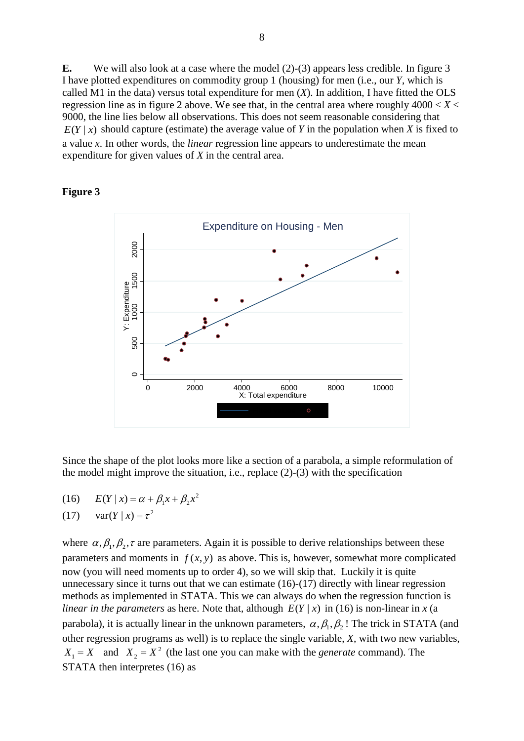**E.** We will also look at a case where the model (2)-(3) appears less credible. In figure 3 I have plotted expenditures on commodity group 1 (housing) for men (i.e., our *Y*, which is called M1 in the data) versus total expenditure for men (*X*). In addition, I have fitted the OLS regression line as in figure 2 above. We see that, in the central area where roughly  $4000 < X <$ 9000, the line lies below all observations. This does not seem reasonable considering that  $E(Y | x)$  should capture (estimate) the average value of *Y* in the population when *X* is fixed to a value *x*. In other words, the *linear* regression line appears to underestimate the mean expenditure for given values of *X* in the central area.

### **Figure 3**



Since the shape of the plot looks more like a section of a parabola, a simple reformulation of the model might improve the situation, i.e., replace (2)-(3) with the specification

(16)  $E(Y | x) = \alpha + \beta_1 x + \beta_2 x^2$ 

$$
(17) \quad \text{var}(Y \mid x) = \tau^2
$$

where  $\alpha, \beta_1, \beta_2, \tau$  are parameters. Again it is possible to derive relationships between these parameters and moments in  $f(x, y)$  as above. This is, however, somewhat more complicated now (you will need moments up to order 4), so we will skip that. Luckily it is quite unnecessary since it turns out that we can estimate (16)-(17) directly with linear regression methods as implemented in STATA. This we can always do when the regression function is *linear in the parameters* as here. Note that, although  $E(Y|x)$  in (16) is non-linear in *x* (a parabola), it is actually linear in the unknown parameters,  $\alpha, \beta, \beta, \beta$ . The trick in STATA (and other regression programs as well) is to replace the single variable, *X*, with two new variables,  $X_1 = X$  and  $X_2 = X^2$  (the last one you can make with the *generate* command). The STATA then interpretes (16) as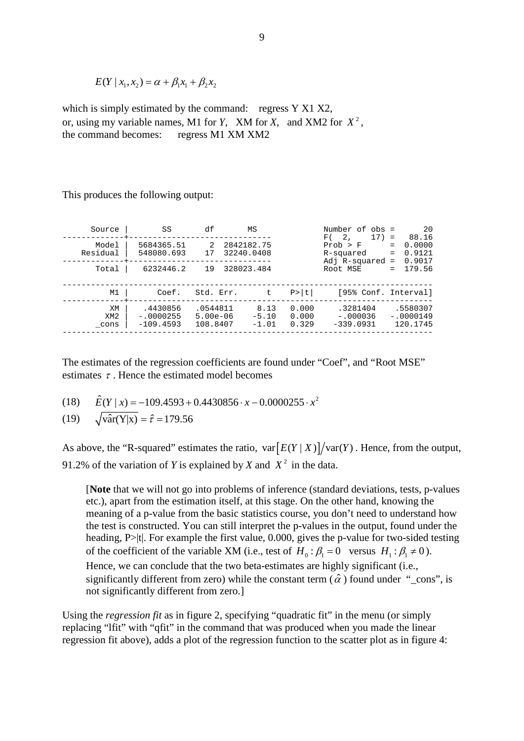$E(Y | x_1, x_2) = \alpha + \beta_1 x_1 + \beta_2 x_2$ 

which is simply estimated by the command: regress Y X1 X2, or, using my variable names, M1 for *Y*, XM for *X*, and XM2 for  $X^2$ . the command becomes: regress M1 XM XM2

This produces the following output:

| Source                        | SS                                     | df                                   | ΜS                         |                         | Number of obs =<br>$17) =$<br>F(                         | 20<br>88.16                                     |
|-------------------------------|----------------------------------------|--------------------------------------|----------------------------|-------------------------|----------------------------------------------------------|-------------------------------------------------|
| Model<br>Residual             | 5684365.51<br>548080.693               | $\mathcal{L}$<br>17                  | 2842182.75<br>32240.0408   |                         | 2 <sub>1</sub><br>Prob > F<br>R-squared<br>Adj R-squared | 0.0000<br>$=$<br>0.9121<br>$=$<br>0.9017<br>$=$ |
| Total                         | 6232446.2                              | 19                                   | 328023.484                 |                         | Root MSE                                                 | 179.56<br>$=$                                   |
| M1                            | Coef.                                  | Std. Err.                            | $t$ .                      | P>  t                   | [95% Conf. Interval]                                     |                                                 |
| XM<br>XM <sub>2</sub><br>cons | .4430856<br>$-.0000255$<br>$-109.4593$ | .0544811<br>$5.00e - 06$<br>108.8407 | 8.13<br>$-5.10$<br>$-1.01$ | 0.000<br>0.000<br>0.329 | .3281404<br>$-.000036$<br>$-339.0931$                    | .5580307<br>$-.0000149$<br>120.1745             |

The estimates of the regression coefficients are found under "Coef", and "Root MSE" estimates  $\tau$ . Hence the estimated model becomes

 $(18)$   $\hat{E}(Y | x) = -109.4593 + 0.4430856 \cdot x - 0.0000255 \cdot x^2$ 

(19) 
$$
\sqrt{\text{var}(Y|x)} = \hat{\tau} = 179.56
$$

As above, the "R-squared" estimates the ratio,  $var[E(Y | X)]/var(Y)$ . Hence, from the output, 91.2% of the variation of *Y* is explained by *X* and  $X^2$  in the data.

[**Note** that we will not go into problems of inference (standard deviations, tests, p-values etc.), apart from the estimation itself, at this stage. On the other hand, knowing the meaning of a p-value from the basic statistics course, you don't need to understand how the test is constructed. You can still interpret the p-values in the output, found under the heading, P>|t|. For example the first value, 0.000, gives the p-value for two-sided testing of the coefficient of the variable XM (i.e., test of  $H_0: \beta_1 = 0$  versus  $H_1: \beta_1 \neq 0$ ).

Hence, we can conclude that the two beta-estimates are highly significant (i.e., significantly different from zero) while the constant term ( $\hat{\alpha}$ ) found under "\_cons", is not significantly different from zero.]

Using the *regression fit* as in figure 2, specifying "quadratic fit" in the menu (or simply replacing "lfit" with "qfit" in the command that was produced when you made the linear regression fit above), adds a plot of the regression function to the scatter plot as in figure 4: